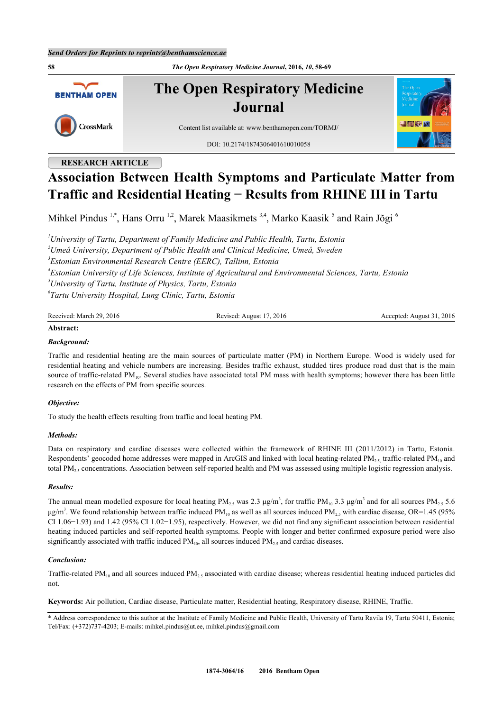**58** *The Open Respiratory Medicine Journal***, 2016,** *10***, 58-69 The Open Respiratory Medicine BENTHAM OPEN Journal** CrossMark Content list available at: [www.benthamopen.com/TORMJ/](http://www.benthamopen.com/TORMJ/) DOI: [10.2174/1874306401610010058](http://dx.doi.org/10.2174/1874306401610010058)

# **RESEARCH ARTICLE**

# **Association Between Health Symptoms and Particulate Matter from Traffic and Residential Heating − Results from RHINE III in Tartu**

Mihkel Pindus <sup>[1](#page-0-0),[\\*](#page-0-1)</sup>, Hans Orru <sup>[1,](#page-0-0)[2](#page-0-2)</sup>, Marek Maasikmets <sup>[3](#page-0-3)[,4](#page-0-4)</sup>, Marko Kaasik <sup>[5](#page-0-5)</sup> and Rain Jõgi <sup>[6](#page-0-6)</sup>

<span id="page-0-4"></span><span id="page-0-3"></span><span id="page-0-2"></span><span id="page-0-0"></span>*University of Tartu, Department of Family Medicine and Public Health, Tartu, Estonia Umeå University, Department of Public Health and Clinical Medicine, Umeå, Sweden Estonian Environmental Research Centre (EERC), Tallinn, Estonia Estonian University of Life Sciences, Institute of Agricultural and Environmental Sciences, Tartu, Estonia University of Tartu, Institute of Physics, Tartu, Estonia Tartu University Hospital, Lung Clinic, Tartu, Estonia*

<span id="page-0-6"></span><span id="page-0-5"></span>

| Received.<br>ിറ<br>2016<br>March | - 201շ<br>201100d<br>Anonst | 2016<br>ccenteo<br>Anonst |
|----------------------------------|-----------------------------|---------------------------|
|                                  |                             |                           |

## **Abstract:**

#### *Background:*

Traffic and residential heating are the main sources of particulate matter (PM) in Northern Europe. Wood is widely used for residential heating and vehicle numbers are increasing. Besides traffic exhaust, studded tires produce road dust that is the main source of traffic-related  $PM_{10}$ . Several studies have associated total PM mass with health symptoms; however there has been little research on the effects of PM from specific sources.

#### *Objective:*

To study the health effects resulting from traffic and local heating PM.

#### *Methods:*

Data on respiratory and cardiac diseases were collected within the framework of RHINE III (2011/2012) in Tartu, Estonia. Respondents' geocoded home addresses were mapped in ArcGIS and linked with local heating-related  $PM_{25}$  traffic-related  $PM_{10}$  and total PM2.5 concentrations. Association between self-reported health and PM was assessed using multiple logistic regression analysis.

#### *Results:*

The annual mean modelled exposure for local heating PM<sub>2.5</sub> was 2.3  $\mu$ g/m<sup>3</sup>, for traffic PM<sub>10</sub> 3.3  $\mu$ g/m<sup>3</sup> and for all sources PM<sub>2.5</sub> 5.6 μg/m<sup>3</sup>. We found relationship between traffic induced PM<sub>10</sub> as well as all sources induced PM<sub>2.5</sub> with cardiac disease, OR=1.45 (95% CI 1.06−1.93) and 1.42 (95% CI 1.02−1.95), respectively. However, we did not find any significant association between residential heating induced particles and self-reported health symptoms. People with longer and better confirmed exposure period were also significantly associated with traffic induced  $PM_{10}$ , all sources induced  $PM_{25}$  and cardiac diseases.

## *Conclusion:*

Traffic-related PM<sub>10</sub> and all sources induced PM<sub>2</sub>, associated with cardiac disease; whereas residential heating induced particles did not.

**Keywords:** Air pollution, Cardiac disease, Particulate matter, Residential heating, Respiratory disease, RHINE, Traffic.

<span id="page-0-1"></span><sup>\*</sup> Address correspondence to this author at the Institute of Family Medicine and Public Health, University of Tartu Ravila 19, Tartu 50411, Estonia; Tel/Fax: (+372)737-4203; E-mails: [mihkel.pindus@ut.ee,](mailto:mihkel.pindus@ut.ee) [mihkel.pindus@gmail.com](mailto:mihkel.pindus@gmail.com)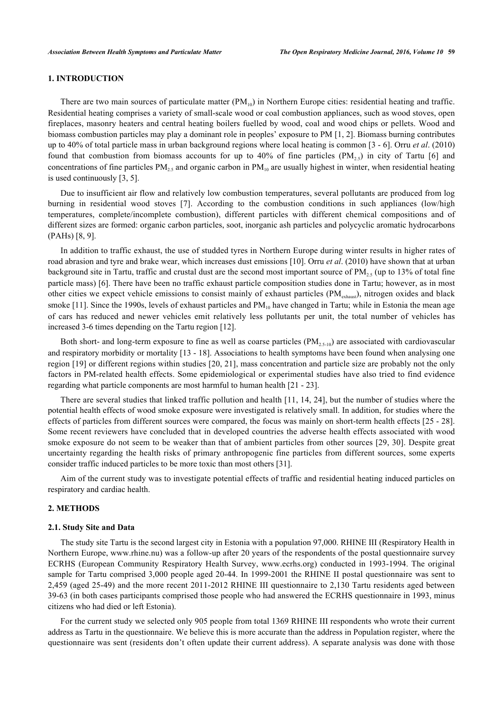## **1. INTRODUCTION**

There are two main sources of particulate matter  $(PM_{10})$  in Northern Europe cities: residential heating and traffic. Residential heating comprises a variety of small-scale wood or coal combustion appliances, such as wood stoves, open fireplaces, masonry heaters and central heating boilers fuelled by wood, coal and wood chips or pellets. Wood and biomass combustion particles may play a dominant role in peoples' exposure to PM [[1,](#page-8-0) [2\]](#page-8-1). Biomass burning contributes up to 40% of total particle mass in urban background regions where local heating is common [[3](#page-8-2) - [6\]](#page-8-3). Orru *et al*. (2010) foundthat combustion from biomass accounts for up to 40% of fine particles  $(PM<sub>2.5</sub>)$  in city of Tartu [[6\]](#page-8-3) and concentrations of fine particles  $PM_{25}$  and organic carbon in  $PM_{10}$  are usually highest in winter, when residential heating is used continuously [\[3](#page-8-2), [5](#page-8-4)].

Due to insufficient air flow and relatively low combustion temperatures, several pollutants are produced from log burning in residential wood stoves[[7](#page-8-5)]. According to the combustion conditions in such appliances (low/high temperatures, complete/incomplete combustion), different particles with different chemical compositions and of different sizes are formed: organic carbon particles, soot, inorganic ash particles and polycyclic aromatic hydrocarbons (PAHs) [\[8](#page-8-6), [9](#page-8-7)].

In addition to traffic exhaust, the use of studded tyres in Northern Europe during winter results in higher rates of road abrasion and tyre and brake wear, which increases dust emissions [\[10](#page-8-8)]. Orru *et al*. (2010) have shown that at urban background site in Tartu, traffic and crustal dust are the second most important source of  $PM<sub>25</sub>$  (up to 13% of total fine particle mass) [[6\]](#page-8-3). There have been no traffic exhaust particle composition studies done in Tartu; however, as in most other cities we expect vehicle emissions to consist mainly of exhaust particles (PM<sub>exhaust</sub>), nitrogen oxides and black smoke  $[11]$  $[11]$ . Since the 1990s, levels of exhaust particles and  $PM_{10}$  have changed in Tartu; while in Estonia the mean age of cars has reduced and newer vehicles emit relatively less pollutants per unit, the total number of vehicles has increased 3-6 times depending on the Tartu region [[12\]](#page-8-10).

Both short- and long-term exposure to fine as well as coarse particles  $(PM<sub>2.5-10</sub>)$  are associated with cardiovascular and respiratory morbidity or mortality [\[13](#page-8-11) - [18\]](#page-8-12). Associations to health symptoms have been found when analysing one region [[19](#page-9-0)] or different regions within studies [\[20](#page-9-1), [21\]](#page-9-2), mass concentration and particle size are probably not the only factors in PM-related health effects. Some epidemiological or experimental studies have also tried to find evidence regarding what particle components are most harmful to human health [[21](#page-9-2) - [23](#page-9-3)].

There are several studies that linked traffic pollution and health [\[11](#page-8-9), [14,](#page-8-13) [24\]](#page-9-4), but the number of studies where the potential health effects of wood smoke exposure were investigated is relatively small. In addition, for studies where the effects of particles from different sources were compared, the focus was mainly on short-term health effects [[25](#page-9-5) - [28\]](#page-9-6). Some recent reviewers have concluded that in developed countries the adverse health effects associated with wood smoke exposure do not seem to be weaker than that of ambient particles from other sources [\[29](#page-9-7), [30](#page-9-8)]. Despite great uncertainty regarding the health risks of primary anthropogenic fine particles from different sources, some experts consider traffic induced particles to be more toxic than most others [\[31](#page-9-9)].

Aim of the current study was to investigate potential effects of traffic and residential heating induced particles on respiratory and cardiac health.

#### **2. METHODS**

#### **2.1. Study Site and Data**

The study site Tartu is the second largest city in Estonia with a population 97,000. RHINE III (Respiratory Health in Northern Europe, [www.rhine.nu\)](http://www.rhine.nu) was a follow-up after 20 years of the respondents of the postal questionnaire survey ECRHS (European Community Respiratory Health Survey, [www.ecrhs.org](http://www.ecrhs.org)) conducted in 1993-1994. The original sample for Tartu comprised 3,000 people aged 20-44. In 1999-2001 the RHINE II postal questionnaire was sent to 2,459 (aged 25-49) and the more recent 2011-2012 RHINE III questionnaire to 2,130 Tartu residents aged between 39-63 (in both cases participants comprised those people who had answered the ECRHS questionnaire in 1993, minus citizens who had died or left Estonia).

For the current study we selected only 905 people from total 1369 RHINE III respondents who wrote their current address as Tartu in the questionnaire. We believe this is more accurate than the address in Population register, where the questionnaire was sent (residents don't often update their current address). A separate analysis was done with those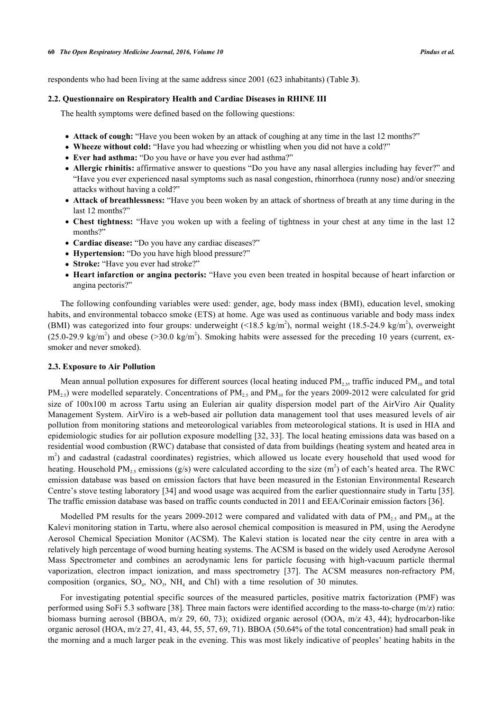respondents who had been living at the same address since 2001 (623 inhabitants) (Table **[3](#page-6-0)**).

#### **2.2. Questionnaire on Respiratory Health and Cardiac Diseases in RHINE III**

The health symptoms were defined based on the following questions:

- **Attack of cough:** "Have you been woken by an attack of coughing at any time in the last 12 months?"
- **Wheeze without cold:** "Have you had wheezing or whistling when you did not have a cold?"
- **Ever had asthma:** "Do you have or have you ever had asthma?"
- **Allergic rhinitis:** affirmative answer to questions "Do you have any nasal allergies including hay fever?" and "Have you ever experienced nasal symptoms such as nasal congestion, rhinorrhoea (runny nose) and/or sneezing attacks without having a cold?"
- **Attack of breathlessness:** "Have you been woken by an attack of shortness of breath at any time during in the last 12 months?"
- **Chest tightness:** "Have you woken up with a feeling of tightness in your chest at any time in the last 12 months?"
- **Cardiac disease:** "Do you have any cardiac diseases?"
- **Hypertension:** "Do you have high blood pressure?"
- **Stroke:** "Have you ever had stroke?"
- **Heart infarction or angina pectoris:** "Have you even been treated in hospital because of heart infarction or angina pectoris?"

The following confounding variables were used: gender, age, body mass index (BMI), education level, smoking habits, and environmental tobacco smoke (ETS) at home. Age was used as continuous variable and body mass index (BMI) was categorized into four groups: underweight  $(\leq 18.5 \text{ kg/m}^2)$ , normal weight (18.5-24.9 kg/m<sup>2</sup>), overweight  $(25.0\n-29.9 \text{ kg/m}^2)$  and obese (>30.0 kg/m<sup>2</sup>). Smoking habits were assessed for the preceding 10 years (current, exsmoker and never smoked).

#### **2.3. Exposure to Air Pollution**

Mean annual pollution exposures for different sources (local heating induced  $PM_{2.5}$ , traffic induced  $PM_{10}$  and total  $PM_{2.5}$ ) were modelled separately. Concentrations of  $PM_{2.5}$  and  $PM_{10}$  for the years 2009-2012 were calculated for grid size of 100x100 m across Tartu using an Eulerian air quality dispersion model part of the AirViro Air Quality Management System. AirViro is a web-based air pollution data management tool that uses measured levels of air pollution from monitoring stations and meteorological variables from meteorological stations. It is used in HIA and epidemiologic studies for air pollution exposure modelling [[32,](#page-9-10) [33](#page-9-11)]. The local heating emissions data was based on a residential wood combustion (RWC) database that consisted of data from buildings (heating system and heated area in m<sup>2</sup>) and cadastral (cadastral coordinates) registries, which allowed us locate every household that used wood for heating. Household PM<sub>2.5</sub> emissions (g/s) were calculated according to the size (m<sup>2</sup>) of each's heated area. The RWC emission database was based on emission factors that have been measured in the Estonian Environmental Research Centre's stove testing laboratory [\[34](#page-9-12)] and wood usage was acquired from the earlier questionnaire study in Tartu [[35\]](#page-9-13). The traffic emission database was based on traffic counts conducted in 2011 and EEA/Corinair emission factors [\[36](#page-9-14)].

Modelled PM results for the years 2009-2012 were compared and validated with data of  $PM_{2.5}$  and  $PM_{10}$  at the Kalevi monitoring station in Tartu, where also aerosol chemical composition is measured in  $PM_1$  using the Aerodyne Aerosol Chemical Speciation Monitor (ACSM). The Kalevi station is located near the city centre in area with a relatively high percentage of wood burning heating systems. The ACSM is based on the widely used Aerodyne Aerosol Mass Spectrometer and combines an aerodynamic lens for particle focusing with high-vacuum particle thermal vaporization,electron impact ionization, and mass spectrometry [[37\]](#page-9-15). The ACSM measures non-refractory  $PM$ <sub>1</sub> composition (organics,  $SO_4$ ,  $NO_3$ ,  $NH_4$  and Chl) with a time resolution of 30 minutes.

For investigating potential specific sources of the measured particles, positive matrix factorization (PMF) was performed using SoFi 5.3 software [\[38](#page-9-16)]. Three main factors were identified according to the mass-to-charge (m/z) ratio: biomass burning aerosol (BBOA, m/z 29, 60, 73); oxidized organic aerosol (OOA, m/z 43, 44); hydrocarbon-like organic aerosol (HOA, m/z 27, 41, 43, 44, 55, 57, 69, 71). BBOA (50.64% of the total concentration) had small peak in the morning and a much larger peak in the evening. This was most likely indicative of peoples' heating habits in the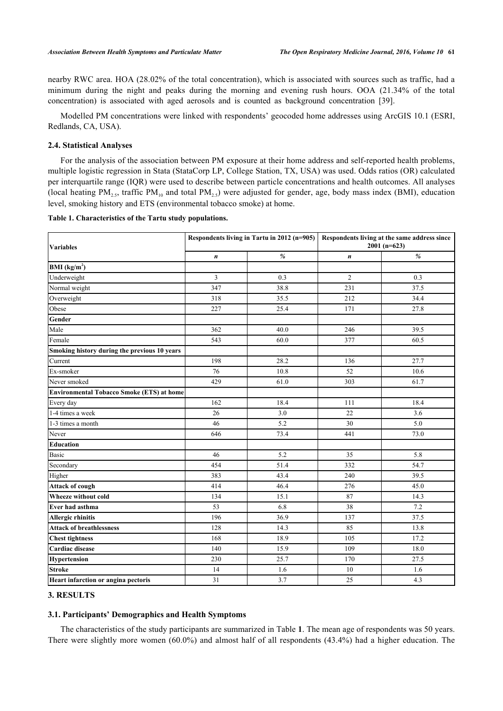nearby RWC area. HOA (28.02% of the total concentration), which is associated with sources such as traffic, had a minimum during the night and peaks during the morning and evening rush hours. OOA (21.34% of the total concentration) is associated with aged aerosols and is counted as background concentration[[39\]](#page-10-0).

Modelled PM concentrations were linked with respondents' geocoded home addresses using ArcGIS 10.1 (ESRI, Redlands, CA, USA).

#### **2.4. Statistical Analyses**

For the analysis of the association between PM exposure at their home address and self-reported health problems, multiple logistic regression in Stata (StataCorp LP, College Station, TX, USA) was used. Odds ratios (OR) calculated per interquartile range (IQR) were used to describe between particle concentrations and health outcomes. All analyses (local heating  $PM_{2.5}$ , traffic  $PM_{10}$  and total  $PM_{2.5}$ ) were adjusted for gender, age, body mass index (BMI), education level, smoking history and ETS (environmental tobacco smoke) at home.

<span id="page-3-0"></span>**Table 1. Characteristics of the Tartu study populations.**

| <b>Variables</b>                             |     | Respondents living in Tartu in 2012 (n=905) | Respondents living at the same address since<br>$2001(n=623)$ |      |  |
|----------------------------------------------|-----|---------------------------------------------|---------------------------------------------------------------|------|--|
|                                              | n   | %                                           | $\boldsymbol{n}$                                              | $\%$ |  |
| $\mathbf{BMI}(\mathbf{kg/m}^2)$              |     |                                             |                                                               |      |  |
| Underweight                                  | 3   | 0.3                                         | $\overline{2}$                                                | 0.3  |  |
| Normal weight                                | 347 | 38.8                                        | 231                                                           | 37.5 |  |
| Overweight                                   | 318 | 35.5                                        | 212                                                           | 34.4 |  |
| Obese                                        | 227 | 25.4                                        | 171                                                           | 27.8 |  |
| Gender                                       |     |                                             |                                                               |      |  |
| Male                                         | 362 | 40.0                                        | 246                                                           | 39.5 |  |
| Female                                       | 543 | 60.0                                        | 377                                                           | 60.5 |  |
| Smoking history during the previous 10 years |     |                                             |                                                               |      |  |
| Current                                      | 198 | 28.2                                        | 136                                                           | 27.7 |  |
| Ex-smoker                                    | 76  | 10.8                                        | 52                                                            | 10.6 |  |
| Never smoked                                 | 429 | 61.0                                        | 303                                                           | 61.7 |  |
| Environmental Tobacco Smoke (ETS) at home    |     |                                             |                                                               |      |  |
| Every day                                    | 162 | 18.4                                        | 111                                                           | 18.4 |  |
| 1-4 times a week                             | 26  | 3.0                                         | 22                                                            | 3.6  |  |
| 1-3 times a month                            | 46  | 5.2                                         | 30                                                            | 5.0  |  |
| Never                                        | 646 | 73.4                                        | 441                                                           | 73.0 |  |
| Education                                    |     |                                             |                                                               |      |  |
| Basic                                        | 46  | 5.2                                         | 35                                                            | 5.8  |  |
| Secondary                                    | 454 | 51.4                                        | 332                                                           | 54.7 |  |
| Higher                                       | 383 | 43.4                                        | 240                                                           | 39.5 |  |
| Attack of cough                              | 414 | 46.4                                        | 276                                                           | 45.0 |  |
| Wheeze without cold                          | 134 | 15.1                                        | 87                                                            | 14.3 |  |
| Ever had asthma                              | 53  | 6.8                                         | 38                                                            | 7.2  |  |
| <b>Allergic rhinitis</b>                     | 196 | 36.9                                        | 137                                                           | 37.5 |  |
| <b>Attack of breathlessness</b>              | 128 | 14.3                                        | 85                                                            | 13.8 |  |
| <b>Chest tightness</b>                       | 168 | 18.9                                        | 105                                                           | 17.2 |  |
| Cardiac disease                              | 140 | 15.9                                        | 109                                                           | 18.0 |  |
| Hypertension                                 | 230 | 25.7                                        | 170                                                           | 27.5 |  |
| <b>Stroke</b>                                | 14  | 1.6                                         | 10                                                            | 1.6  |  |
| Heart infarction or angina pectoris          | 31  | 3.7                                         | 25                                                            | 4.3  |  |

## **3. RESULTS**

#### **3.1. Participants' Demographics and Health Symptoms**

The characteristics of the study participants are summarized in Table **[1](#page-3-0)**. The mean age of respondents was 50 years. There were slightly more women (60.0%) and almost half of all respondents (43.4%) had a higher education. The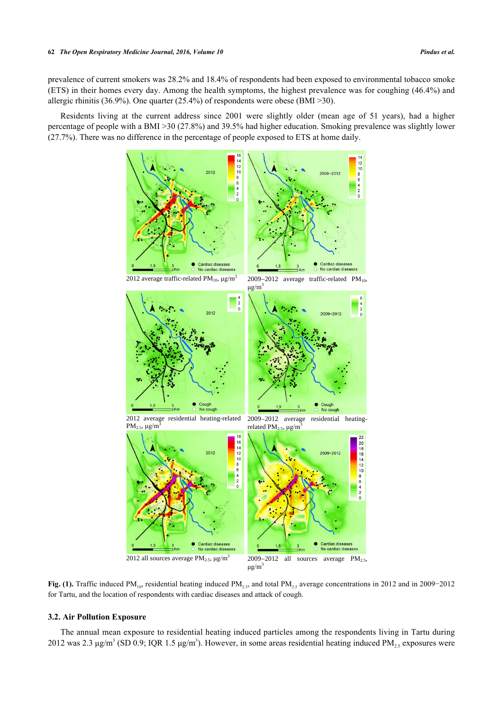prevalence of current smokers was 28.2% and 18.4% of respondents had been exposed to environmental tobacco smoke (ETS) in their homes every day. Among the health symptoms, the highest prevalence was for coughing (46.4%) and allergic rhinitis (36.9%). One quarter (25.4%) of respondents were obese (BMI >30).

<span id="page-4-0"></span>Residents living at the current address since 2001 were slightly older (mean age of 51 years), had a higher percentage of people with a BMI >30 (27.8%) and 39.5% had higher education. Smoking prevalence was slightly lower (27.7%). There was no difference in the percentage of people exposed to ETS at home daily.



**Fig. (1).** Traffic induced PM10, residential heating induced PM2.5, and total PM2.5 average concentrations in 2012 and in 2009−2012 for Tartu, and the location of respondents with cardiac diseases and attack of cough.

## **3.2. Air Pollution Exposure**

The annual mean exposure to residential heating induced particles among the respondents living in Tartu during 2012 was 2.3  $\mu$ g/m<sup>3</sup> (SD 0.9; IQR 1.5  $\mu$ g/m<sup>3</sup>). However, in some areas residential heating induced PM<sub>2.5</sub> exposures were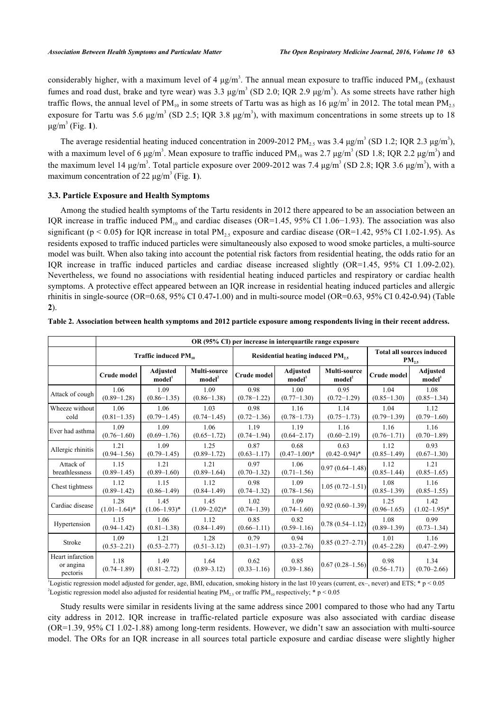considerably higher, with a maximum level of 4  $\mu$ g/m<sup>3</sup>. The annual mean exposure to traffic induced PM<sub>10</sub> (exhaust fumes and road dust, brake and tyre wear) was  $3.3 \mu\text{g/m}^3$  (SD 2.0; IQR 2.9  $\mu\text{g/m}^3$ ). As some streets have rather high traffic flows, the annual level of PM<sub>10</sub> in some streets of Tartu was as high as 16  $\mu$ g/m<sup>3</sup> in 2012. The total mean PM<sub>2.5</sub> exposure for Tartu was 5.6  $\mu$ g/m<sup>3</sup> (SD 2.5; IQR 3.8  $\mu$ g/m<sup>3</sup>), with maximum concentrations in some streets up to 18  $μg/m<sup>3</sup>$  (Fig. [1](#page-4-0)).

The average residential heating induced concentration in 2009-2012 PM<sub>2.5</sub> was 3.4  $\mu$ g/m<sup>3</sup> (SD 1.2; IQR 2.3  $\mu$ g/m<sup>3</sup>), with a maximum level of 6  $\mu$ g/m<sup>3</sup>. Mean exposure to traffic induced PM<sub>10</sub> was 2.7  $\mu$ g/m<sup>3</sup> (SD 1.8; IQR 2.2  $\mu$ g/m<sup>3</sup>) and the maximum level 14 μg/m<sup>3</sup>. Total particle exposure over 2009-2012 was 7.4 μg/m<sup>3</sup> (SD 2.8; IQR 3.6 μg/m<sup>3</sup>), with a maximum concentration of 22  $\mu$ g/m<sup>3</sup> (Fig. [1](#page-4-0)).

#### **3.3. Particle Exposure and Health Symptoms**

Among the studied health symptoms of the Tartu residents in 2012 there appeared to be an association between an IQR increase in traffic induced PM<sub>10</sub> and cardiac diseases (OR=1.45, 95% CI 1.06−1.93). The association was also significant ( $p < 0.05$ ) for IQR increase in total  $PM_{2.5}$  exposure and cardiac disease (OR=1.42, 95% CI 1.02-1.95). As residents exposed to traffic induced particles were simultaneously also exposed to wood smoke particles, a multi-source model was built. When also taking into account the potential risk factors from residential heating, the odds ratio for an IQR increase in traffic induced particles and cardiac disease increased slightly (OR=1.45, 95% CI 1.09-2.02). Nevertheless, we found no associations with residential heating induced particles and respiratory or cardiac health symptoms. A protective effect appeared between an IQR increase in residential heating induced particles and allergic rhinitis in single-source (OR=0.68, 95% CI 0.47**-**1.00) and in multi-source model (OR=0.63, 95% CI 0.42**-**0.94) (Table **[2](#page-5-0)**).

|                                           | OR (95% CI) per increase in interquartile range exposure |                                       |                                    |                         |                                       |                                                |                         |                                |
|-------------------------------------------|----------------------------------------------------------|---------------------------------------|------------------------------------|-------------------------|---------------------------------------|------------------------------------------------|-------------------------|--------------------------------|
|                                           | Traffic induced PM <sub>10</sub>                         |                                       |                                    |                         | Residential heating induced PM,       | <b>Total all sources induced</b><br>$PM_{2.5}$ |                         |                                |
|                                           | <b>Crude model</b>                                       | <b>Adjusted</b><br>model <sup>1</sup> | Multi-source<br>model <sup>2</sup> | Crude model             | <b>Adjusted</b><br>model <sup>1</sup> | <b>Multi-source</b><br>model <sup>2</sup>      | Crude model             | Adjusted<br>model <sup>1</sup> |
| Attack of cough                           | 1.06<br>$(0.89 - 1.28)$                                  | 1.09<br>$(0.86 - 1.35)$               | 1.09<br>$(0.86 - 1.38)$            | 0.98<br>$(0.78 - 1.22)$ | 1.00<br>$(0.77-1.30)$                 | 0.95<br>$(0.72 - 1.29)$                        | 1.04<br>$(0.85 - 1.30)$ | 1.08<br>$(0.85 - 1.34)$        |
| Wheeze without<br>cold                    | 1.06<br>$(0.81 - 1.35)$                                  | 1.06<br>$(0.79 - 1.45)$               | 1.03<br>$(0.74 - 1.45)$            | 0.98<br>$(0.72 - 1.36)$ | 1.16<br>$(0.78 - 1.73)$               | 1.14<br>$(0.75 - 1.73)$                        | 1.04<br>$(0.79 - 1.39)$ | 1.12<br>$(0.79 - 1.60)$        |
| Ever had asthma                           | 1.09<br>$(0.76 - 1.60)$                                  | 1.09<br>$(0.69 - 1.76)$               | 1.06<br>$(0.65 - 1.72)$            | 1.19<br>$(0.74 - 1.94)$ | 1.19<br>$(0.64 - 2.17)$               | 1.16<br>$(0.60 - 2.19)$                        | 1.16<br>$(0.76 - 1.71)$ | 1.16<br>$(0.70 - 1.89)$        |
| Allergic rhinitis                         | 1.21<br>$(0.94 - 1.56)$                                  | 1.09<br>$(0.79 - 1.45)$               | 1.25<br>$(0.89 - 1.72)$            | 0.87<br>$(0.63 - 1.17)$ | 0.68<br>$(0.47-1.00)*$                | 0.63<br>$(0.42 - 0.94)^*$                      | 1.12<br>$(0.85 - 1.49)$ | 0.93<br>$(0.67 - 1.30)$        |
| Attack of<br>breathlessness               | 1.15<br>$(0.89 - 1.45)$                                  | 1.21<br>$(0.89 - 1.60)$               | 1.21<br>$(0.89 - 1.64)$            | 0.97<br>$(0.70 - 1.32)$ | 1.06<br>$(0.71 - 1.56)$               | $0.97(0.64 - 1.48)$                            | 1.12<br>$(0.85 - 1.44)$ | 1.21<br>$(0.85 - 1.65)$        |
| Chest tightness                           | 1.12<br>$(0.89 - 1.42)$                                  | 1.15<br>$(0.86 - 1.49)$               | 1.12<br>$(0.84 - 1.49)$            | 0.98<br>$(0.74 - 1.32)$ | 1.09<br>$(0.78 - 1.56)$               | $1.05(0.72 - 1.51)$                            | 1.08<br>$(0.85 - 1.39)$ | 1.16<br>$(0.85 - 1.55)$        |
| Cardiac disease                           | 1.28<br>$(1.01-1.64)^*$                                  | 1.45<br>$(1.06-1.93)^*$               | 1.45<br>$(1.09 - 2.02)^*$          | 1.02<br>$(0.74 - 1.39)$ | 1.09<br>$(0.74 - 1.60)$               | $[0.92 (0.60 - 1.39)]$                         | 1.25<br>$(0.96 - 1.65)$ | 1.42<br>$(1.02 - 1.95)^*$      |
| Hypertension                              | 1.15<br>$(0.94 - 1.42)$                                  | 1.06<br>$(0.81 - 1.38)$               | 1.12<br>$(0.84 - 1.49)$            | 0.85<br>$(0.66 - 1.11)$ | 0.82<br>$(0.59 - 1.16)$               | $0.78(0.54 - 1.12)$                            | 1.08<br>$(0.89 - 1.39)$ | 0.99<br>$(0.73 - 1.34)$        |
| Stroke                                    | 1.09<br>$(0.53 - 2.21)$                                  | 1.21<br>$(0.53 - 2.77)$               | 1.28<br>$(0.51 - 3.12)$            | 0.79<br>$(0.31 - 1.97)$ | 0.94<br>$(0.33 - 2.76)$               | $0.85(0.27-2.71)$                              | 1.01<br>$(0.45 - 2.28)$ | 1.16<br>$(0.47 - 2.99)$        |
| Heart infarction<br>or angina<br>pectoris | 1.18<br>$(0.74 - 1.89)$                                  | 1.49<br>$(0.81 - 2.72)$               | 1.64<br>$(0.89 - 3.12)$            | 0.62<br>$(0.33 - 1.16)$ | 0.85<br>$(0.39 - 1.86)$               | $[0.67(0.28 - 1.56)]$                          | 0.98<br>$(0.56 - 1.71)$ | 1.34<br>$(0.70 - 2.66)$        |

<span id="page-5-0"></span>

|  |  |  | Table 2. Association between health symptoms and 2012 particle exposure among respondents living in their recent address. |  |  |  |
|--|--|--|---------------------------------------------------------------------------------------------------------------------------|--|--|--|
|  |  |  |                                                                                                                           |  |  |  |

1 Logistic regression model adjusted for gender, age, BMI, education, smoking history in the last 10 years (current, ex–, never) and ETS; \* p < 0.05 <sup>2</sup>Logistic regression model also adjusted for residential heating  $PM_{2.5}$  or traffic  $PM_{10}$  respectively; \* p < 0.05

Study results were similar in residents living at the same address since 2001 compared to those who had any Tartu city address in 2012. IQR increase in traffic-related particle exposure was also associated with cardiac disease (OR=1.39, 95% CI 1.02-1.88) among long-term residents. However, we didn't saw an association with multi-source model. The ORs for an IQR increase in all sources total particle exposure and cardiac disease were slightly higher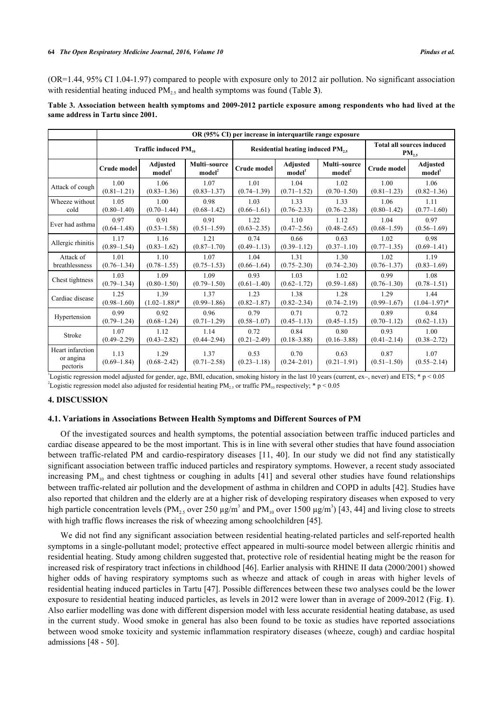(OR=1.44, 95% CI 1.04-1.97) compared to people with exposure only to 2012 air pollution. No significant association with residential heating induced  $PM<sub>25</sub>$  and health symptoms was found (Table **[3](#page-6-0)**).

<span id="page-6-0"></span>**Table 3. Association between health symptoms and 2009-2012 particle exposure among respondents who had lived at the same address in Tartu since 2001.**

|                                           | OR (95% CI) per increase in interquartile range exposure |                                       |                                    |                         |                                 |                                                |                         |                                       |
|-------------------------------------------|----------------------------------------------------------|---------------------------------------|------------------------------------|-------------------------|---------------------------------|------------------------------------------------|-------------------------|---------------------------------------|
|                                           | Traffic induced $PM_{10}$                                |                                       |                                    |                         | Residential heating induced PM, | <b>Total all sources induced</b><br>$PM_{2.5}$ |                         |                                       |
|                                           | <b>Crude model</b>                                       | <b>Adjusted</b><br>model <sup>1</sup> | Multi-source<br>model <sup>2</sup> | <b>Crude model</b>      | Adjusted<br>$\mathbf{model}^1$  | Multi-source<br>model <sup>2</sup>             | <b>Crude model</b>      | <b>Adjusted</b><br>model <sup>1</sup> |
| Attack of cough                           | 1.00                                                     | 1.06                                  | 1.07                               | 1.01                    | 1.04                            | 1.02                                           | 1.00                    | 1.06                                  |
|                                           | $(0.81 - 1.21)$                                          | $(0.83 - 1.36)$                       | $(0.83 - 1.37)$                    | $(0.74 - 1.39)$         | $(0.71 - 1.52)$                 | $(0.70 - 1.50)$                                | $(0.81 - 1.23)$         | $(0.82 - 1.36)$                       |
| Wheeze without                            | 1.05                                                     | 1.00                                  | 0.98                               | 1.03                    | 1.33                            | 1.33                                           | 1.06                    | 1.11                                  |
| cold                                      | $(0.80 - 1.40)$                                          | $(0.70 - 1.44)$                       | $(0.68 - 1.42)$                    | $(0.66 - 1.61)$         | $(0.76 - 2.33)$                 | $(0.76 - 2.38)$                                | $(0.80 - 1.42)$         | $(0.77-1.60)$                         |
| Ever had asthma                           | 0.97                                                     | 0.91                                  | 0.91                               | 1.22                    | 1.10                            | 1.12                                           | 1.04                    | 0.97                                  |
|                                           | $(0.64 - 1.48)$                                          | $(0.53 - 1.58)$                       | $(0.51 - 1.59)$                    | $(0.63 - 2.35)$         | $(0.47 - 2.56)$                 | $(0.48 - 2.65)$                                | $(0.68 - 1.59)$         | $(0.56 - 1.69)$                       |
| Allergic rhinitis                         | 1.17                                                     | 1.16                                  | 1.21                               | 0.74                    | 0.66                            | 0.63                                           | 1.02                    | 0.98                                  |
|                                           | $(0.89 - 1.54)$                                          | $(0.83 - 1.62)$                       | $(0.87 - 1.70)$                    | $(0.49 - 1.13)$         | $(0.39 - 1.12)$                 | $(0.37 - 1.10)$                                | $(0.77 - 1.35)$         | $(0.69 - 1.41)$                       |
| Attack of                                 | 1.01                                                     | 1.10                                  | 1.07                               | 1.04                    | 1.31                            | 1.30                                           | 1.02                    | 1.19                                  |
| breathlessness                            | $(0.76 - 1.34)$                                          | $(0.78 - 1.55)$                       | $(0.75 - 1.53)$                    | $(0.66 - 1.64)$         | $(0.75 - 2.30)$                 | $(0.74 - 2.30)$                                | $(0.76 - 1.37)$         | $(0.83 - 1.69)$                       |
| Chest tightness                           | 1.03                                                     | 1.09                                  | 1.09                               | 0.93                    | 1.03                            | 1.02                                           | 0.99                    | 1.08                                  |
|                                           | $(0.79-1.34)$                                            | $(0.80 - 1.50)$                       | $(0.79 - 1.50)$                    | $(0.61 - 1.40)$         | $(0.62 - 1.72)$                 | $(0.59 - 1.68)$                                | $(0.76 - 1.30)$         | $(0.78 - 1.51)$                       |
| Cardiac disease                           | 1.25                                                     | 1.39                                  | 1.37                               | 1.23                    | 1.38                            | 1.28                                           | 1.29                    | 1.44                                  |
|                                           | $(0.98 - 1.60)$                                          | $(1.02 - 1.88)^*$                     | $(0.99 - 1.86)$                    | $(0.82 - 1.87)$         | $(0.82 - 2.34)$                 | $(0.74 - 2.19)$                                | $(0.99 - 1.67)$         | $(1.04 - 1.97)^*$                     |
| Hypertension                              | 0.99                                                     | 0.92                                  | 0.96                               | 0.79                    | 0.71                            | 0.72                                           | 0.89                    | 0.84                                  |
|                                           | $(0.79 - 1.24)$                                          | $(0.68 - 1.24)$                       | $(0.71 - 1.29)$                    | $(0.58 - 1.07)$         | $(0.45 - 1.13)$                 | $(0.45 - 1.15)$                                | $(0.70 - 1.12)$         | $(0.62 - 1.13)$                       |
| Stroke                                    | 1.07                                                     | 1.12                                  | 1.14                               | 0.72                    | 0.84                            | 0.80                                           | 0.93                    | 1.00                                  |
|                                           | $(0.49 - 2.29)$                                          | $(0.43 - 2.82)$                       | $(0.44 - 2.94)$                    | $(0.21 - 2.49)$         | $(0.18 - 3.88)$                 | $(0.16 - 3.88)$                                | $(0.41 - 2.14)$         | $(0.38 - 2.72)$                       |
| Heart infarction<br>or angina<br>pectoris | 1.13<br>$(0.69 - 1.84)$                                  | 1.29<br>$(0.68 - 2.42)$               | 1.37<br>$(0.71 - 2.58)$            | 0.53<br>$(0.23 - 1.18)$ | 0.70<br>$(0.24 - 2.01)$         | 0.63<br>$(0.21 - 1.91)$                        | 0.87<br>$(0.51 - 1.50)$ | 1.07<br>$(0.55 - 2.14)$               |

Logistic regression model adjusted for gender, age, BMI, education, smoking history in the last 10 years (current, ex–, never) and ETS;  $* p < 0.05$ <sup>2</sup>Logistic regression model also adjusted for residential heating  $PM_{2.5}$  or traffic  $PM_{10}$  respectively; \* p < 0.05

#### **4. DISCUSSION**

#### **4.1. Variations in Associations Between Health Symptoms and Different Sources of PM**

Of the investigated sources and health symptoms, the potential association between traffic induced particles and cardiac disease appeared to be the most important. This is in line with several other studies that have found association between traffic-related PM and cardio-respiratory diseases [\[11,](#page-8-9) [40](#page-10-1)]. In our study we did not find any statistically significant association between traffic induced particles and respiratory symptoms. However, a recent study associated increasingPM<sub>10</sub> and chest tightness or coughing in adults [[41](#page-10-2)] and several other studies have found relationships between traffic-related air pollution and the development of asthma in children and COPD in adults [\[42](#page-10-3)]. Studies have also reported that children and the elderly are at a higher risk of developing respiratory diseases when exposed to very high particle concentration levels (PM<sub>2.5</sub> over 250  $\mu$ g/m<sup>3</sup> and PM<sub>10</sub> over 1500  $\mu$ g/m<sup>3</sup>) [[43](#page-10-4), [44](#page-10-5)] and living close to streets with high traffic flows increases the risk of wheezing among schoolchildren [\[45](#page-10-6)].

We did not find any significant association between residential heating-related particles and self-reported health symptoms in a single-pollutant model; protective effect appeared in multi-source model between allergic rhinitis and residential heating. Study among children suggested that, protective role of residential heating might be the reason for increased risk of respiratory tract infections in childhood [[46\]](#page-10-7). Earlier analysis with RHINE II data (2000/2001) showed higher odds of having respiratory symptoms such as wheeze and attack of cough in areas with higher levels of residential heating induced particles in Tartu [[47\]](#page-10-8). Possible differences between these two analyses could be the lower exposure to residential heating induced particles, as levels in 2012 were lower than in average of 2009-2012 (Fig. **[1](#page-4-0)**). Also earlier modelling was done with different dispersion model with less accurate residential heating database, as used in the current study. Wood smoke in general has also been found to be toxic as studies have reported associations between wood smoke toxicity and systemic inflammation respiratory diseases (wheeze, cough) and cardiac hospital admissions [[48](#page-10-9) - [50](#page-10-10)].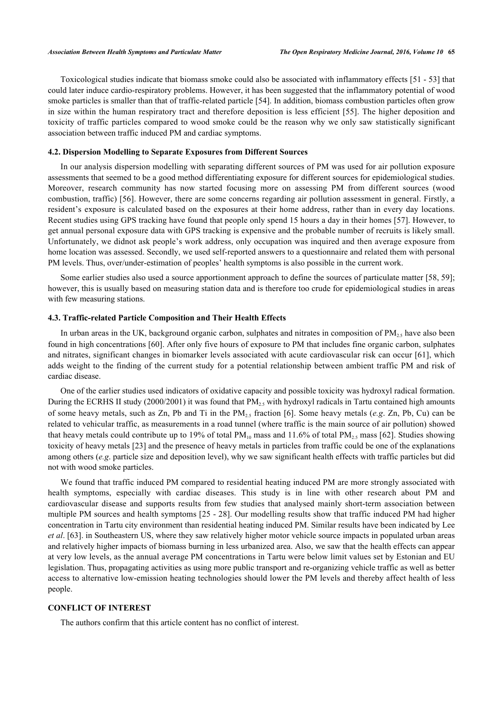Toxicological studies indicate that biomass smoke could also be associated with inflammatory effects [[51](#page-10-11) - [53](#page-10-12)] that could later induce cardio-respiratory problems. However, it has been suggested that the inflammatory potential of wood smoke particles is smaller than that of traffic-related particle [[54\]](#page-10-13). In addition, biomass combustion particles often grow in size within the human respiratory tract and therefore deposition is less efficient [\[55](#page-10-14)]. The higher deposition and toxicity of traffic particles compared to wood smoke could be the reason why we only saw statistically significant association between traffic induced PM and cardiac symptoms.

#### **4.2. Dispersion Modelling to Separate Exposures from Different Sources**

In our analysis dispersion modelling with separating different sources of PM was used for air pollution exposure assessments that seemed to be a good method differentiating exposure for different sources for epidemiological studies. Moreover, research community has now started focusing more on assessing PM from different sources (wood combustion, traffic) [[56](#page-10-15)]. However, there are some concerns regarding air pollution assessment in general. Firstly, a resident's exposure is calculated based on the exposures at their home address, rather than in every day locations. Recent studies using GPS tracking have found that people only spend 15 hours a day in their homes [[57\]](#page-10-16). However, to get annual personal exposure data with GPS tracking is expensive and the probable number of recruits is likely small. Unfortunately, we didnot ask people's work address, only occupation was inquired and then average exposure from home location was assessed. Secondly, we used self-reported answers to a questionnaire and related them with personal PM levels. Thus, over/under-estimation of peoples' health symptoms is also possible in the current work.

Some earlier studies also used a source apportionment approach to define the sources of particulate matter [\[58](#page-10-17), [59](#page-11-0)]; however, this is usually based on measuring station data and is therefore too crude for epidemiological studies in areas with few measuring stations.

## **4.3. Traffic-related Particle Composition and Their Health Effects**

In urban areas in the UK, background organic carbon, sulphates and nitrates in composition of  $PM_{2.5}$  have also been found in high concentrations [[60\]](#page-11-1). After only five hours of exposure to PM that includes fine organic carbon, sulphates and nitrates, significant changes in biomarker levels associated with acute cardiovascular risk can occur [\[61\]](#page-11-2), which adds weight to the finding of the current study for a potential relationship between ambient traffic PM and risk of cardiac disease.

One of the earlier studies used indicators of oxidative capacity and possible toxicity was hydroxyl radical formation. During the ECRHS II study (2000/2001) it was found that  $PM_2$ , with hydroxyl radicals in Tartu contained high amounts of some heavy metals, such as Zn, Pb and Ti in the PM<sub>2</sub>, fraction [\[6](#page-8-3)]. Some heavy metals (*e.g.* Zn, Pb, Cu) can be related to vehicular traffic, as measurements in a road tunnel (where traffic is the main source of air pollution) showed that heavy metals could contribute up to 19% of total  $PM_{10}$  mass and 11.6% of total  $PM_{25}$  mass [[62\]](#page-11-3). Studies showing toxicity of heavy metals [[23\]](#page-9-3) and the presence of heavy metals in particles from traffic could be one of the explanations among others (*e.g*. particle size and deposition level), why we saw significant health effects with traffic particles but did not with wood smoke particles.

We found that traffic induced PM compared to residential heating induced PM are more strongly associated with health symptoms, especially with cardiac diseases. This study is in line with other research about PM and cardiovascular disease and supports results from few studies that analysed mainly short-term association between multiple PM sources and health symptoms [\[25](#page-9-5) - [28\]](#page-9-6). Our modelling results show that traffic induced PM had higher concentration in Tartu city environment than residential heating induced PM. Similar results have been indicated by Lee *et al*. [[63\]](#page-11-4). in Southeastern US, where they saw relatively higher motor vehicle source impacts in populated urban areas and relatively higher impacts of biomass burning in less urbanized area. Also, we saw that the health effects can appear at very low levels, as the annual average PM concentrations in Tartu were below limit values set by Estonian and EU legislation. Thus, propagating activities as using more public transport and re-organizing vehicle traffic as well as better access to alternative low-emission heating technologies should lower the PM levels and thereby affect health of less people.

#### **CONFLICT OF INTEREST**

The authors confirm that this article content has no conflict of interest.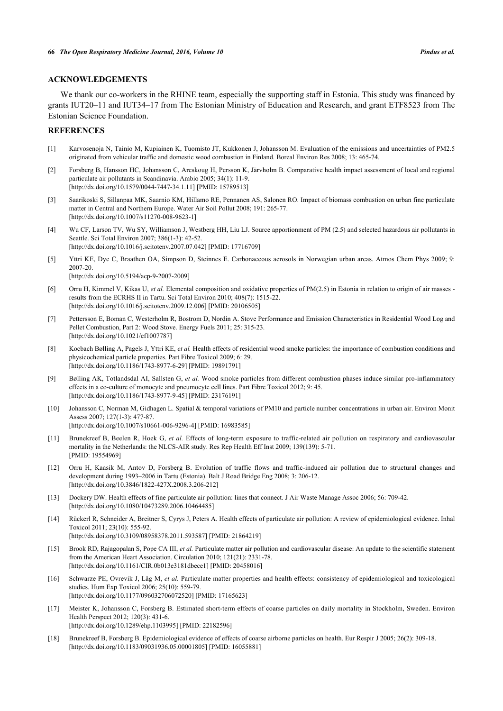#### **ACKNOWLEDGEMENTS**

We thank our co-workers in the RHINE team, especially the supporting staff in Estonia. This study was financed by grants IUT20–11 and IUT34–17 from The Estonian Ministry of Education and Research, and grant ETF8523 from The Estonian Science Foundation.

#### **REFERENCES**

- <span id="page-8-0"></span>[1] Karvosenoja N, Tainio M, Kupiainen K, Tuomisto JT, Kukkonen J, Johansson M. Evaluation of the emissions and uncertainties of PM2.5 originated from vehicular traffic and domestic wood combustion in Finland. Boreal Environ Res 2008; 13: 465-74.
- <span id="page-8-1"></span>[2] Forsberg B, Hansson HC, Johansson C, Areskoug H, Persson K, Järvholm B. Comparative health impact assessment of local and regional particulate air pollutants in Scandinavia. Ambio 2005; 34(1): 11-9. [\[http://dx.doi.org/10.1579/0044-7447-34.1.11](http://dx.doi.org/10.1579/0044-7447-34.1.11)] [PMID: [15789513\]](http://www.ncbi.nlm.nih.gov/pubmed/15789513)
- <span id="page-8-2"></span>[3] Saarikoski S, Sillanpaa MK, Saarnio KM, Hillamo RE, Pennanen AS, Salonen RO. Impact of biomass combustion on urban fine particulate matter in Central and Northern Europe. Water Air Soil Pollut 2008; 191: 265-77. [\[http://dx.doi.org/10.1007/s11270-008-9623-1\]](http://dx.doi.org/10.1007/s11270-008-9623-1)
- [4] Wu CF, Larson TV, Wu SY, Williamson J, Westberg HH, Liu LJ. Source apportionment of PM (2.5) and selected hazardous air pollutants in Seattle. Sci Total Environ 2007; 386(1-3): 42-52. [\[http://dx.doi.org/10.1016/j.scitotenv.2007.07.042\]](http://dx.doi.org/10.1016/j.scitotenv.2007.07.042) [PMID: [17716709](http://www.ncbi.nlm.nih.gov/pubmed/17716709)]
- <span id="page-8-4"></span>[5] Yttri KE, Dye C, Braathen OA, Simpson D, Steinnes E. Carbonaceous aerosols in Norwegian urban areas. Atmos Chem Phys 2009; 9: 2007-20. [\[http://dx.doi.org/10.5194/acp-9-2007-2009\]](http://dx.doi.org/10.5194/acp-9-2007-2009)
- <span id="page-8-3"></span>[6] Orru H, Kimmel V, Kikas U, *et al.* Elemental composition and oxidative properties of PM(2.5) in Estonia in relation to origin of air masses results from the ECRHS II in Tartu. Sci Total Environ 2010; 408(7): 1515-22. [\[http://dx.doi.org/10.1016/j.scitotenv.2009.12.006\]](http://dx.doi.org/10.1016/j.scitotenv.2009.12.006) [PMID: [20106505](http://www.ncbi.nlm.nih.gov/pubmed/20106505)]
- <span id="page-8-5"></span>[7] Pettersson E, Boman C, Westerholm R, Bostrom D, Nordin A. Stove Performance and Emission Characteristics in Residential Wood Log and Pellet Combustion, Part 2: Wood Stove. Energy Fuels 2011; 25: 315-23. [\[http://dx.doi.org/10.1021/ef1007787](http://dx.doi.org/10.1021/ef1007787)]
- <span id="page-8-6"></span>[8] Kocbach Bølling A, Pagels J, Yttri KE, *et al.* Health effects of residential wood smoke particles: the importance of combustion conditions and physicochemical particle properties. Part Fibre Toxicol 2009; 6: 29. [\[http://dx.doi.org/10.1186/1743-8977-6-29\]](http://dx.doi.org/10.1186/1743-8977-6-29) [PMID: [19891791](http://www.ncbi.nlm.nih.gov/pubmed/19891791)]
- <span id="page-8-7"></span>[9] Bølling AK, Totlandsdal AI, Sallsten G, *et al.* Wood smoke particles from different combustion phases induce similar pro-inflammatory effects in a co-culture of monocyte and pneumocyte cell lines. Part Fibre Toxicol 2012; 9: 45. [\[http://dx.doi.org/10.1186/1743-8977-9-45\]](http://dx.doi.org/10.1186/1743-8977-9-45) [PMID: [23176191](http://www.ncbi.nlm.nih.gov/pubmed/23176191)]
- <span id="page-8-8"></span>[10] Johansson C, Norman M, Gidhagen L. Spatial & temporal variations of PM10 and particle number concentrations in urban air. Environ Monit Assess 2007; 127(1-3): 477-87. [\[http://dx.doi.org/10.1007/s10661-006-9296-4\]](http://dx.doi.org/10.1007/s10661-006-9296-4) [PMID: [16983585](http://www.ncbi.nlm.nih.gov/pubmed/16983585)]
- <span id="page-8-9"></span>[11] Brunekreef B, Beelen R, Hoek G, *et al.* Effects of long-term exposure to traffic-related air pollution on respiratory and cardiovascular mortality in the Netherlands: the NLCS-AIR study. Res Rep Health Eff Inst 2009; 139(139): 5-71. [PMID: [19554969\]](http://www.ncbi.nlm.nih.gov/pubmed/19554969)
- <span id="page-8-10"></span>[12] Orru H, Kaasik M, Antov D, Forsberg B. Evolution of traffic flows and traffic-induced air pollution due to structural changes and development during 1993–2006 in Tartu (Estonia). Balt J Road Bridge Eng 2008; 3: 206-12. [\[http://dx.doi.org/10.3846/1822-427X.2008.3.206-212\]](http://dx.doi.org/10.3846/1822-427X.2008.3.206-212)
- <span id="page-8-11"></span>[13] Dockery DW. Health effects of fine particulate air pollution: lines that connect. J Air Waste Manage Assoc 2006; 56: 709-42. [\[http://dx.doi.org/10.1080/10473289.2006.10464485\]](http://dx.doi.org/10.1080/10473289.2006.10464485)
- <span id="page-8-13"></span>[14] Rückerl R, Schneider A, Breitner S, Cyrys J, Peters A. Health effects of particulate air pollution: A review of epidemiological evidence. Inhal Toxicol 2011; 23(10): 555-92. [\[http://dx.doi.org/10.3109/08958378.2011.593587\]](http://dx.doi.org/10.3109/08958378.2011.593587) [PMID: [21864219](http://www.ncbi.nlm.nih.gov/pubmed/21864219)]
- [15] Brook RD, Rajagopalan S, Pope CA III, *et al.* Particulate matter air pollution and cardiovascular disease: An update to the scientific statement from the American Heart Association. Circulation 2010; 121(21): 2331-78. [\[http://dx.doi.org/10.1161/CIR.0b013e3181dbece1](http://dx.doi.org/10.1161/CIR.0b013e3181dbece1)] [PMID: [20458016\]](http://www.ncbi.nlm.nih.gov/pubmed/20458016)
- [16] Schwarze PE, Ovrevik J, Låg M, *et al.* Particulate matter properties and health effects: consistency of epidemiological and toxicological studies. Hum Exp Toxicol 2006; 25(10): 559-79. [\[http://dx.doi.org/10.1177/096032706072520\]](http://dx.doi.org/10.1177/096032706072520) [PMID: [17165623](http://www.ncbi.nlm.nih.gov/pubmed/17165623)]
- [17] Meister K, Johansson C, Forsberg B. Estimated short-term effects of coarse particles on daily mortality in Stockholm, Sweden. Environ Health Perspect 2012; 120(3): 431-6. [\[http://dx.doi.org/10.1289/ehp.1103995](http://dx.doi.org/10.1289/ehp.1103995)] [PMID: [22182596\]](http://www.ncbi.nlm.nih.gov/pubmed/22182596)
- <span id="page-8-12"></span>[18] Brunekreef B, Forsberg B. Epidemiological evidence of effects of coarse airborne particles on health. Eur Respir J 2005; 26(2): 309-18. [\[http://dx.doi.org/10.1183/09031936.05.00001805\]](http://dx.doi.org/10.1183/09031936.05.00001805) [PMID: [16055881](http://www.ncbi.nlm.nih.gov/pubmed/16055881)]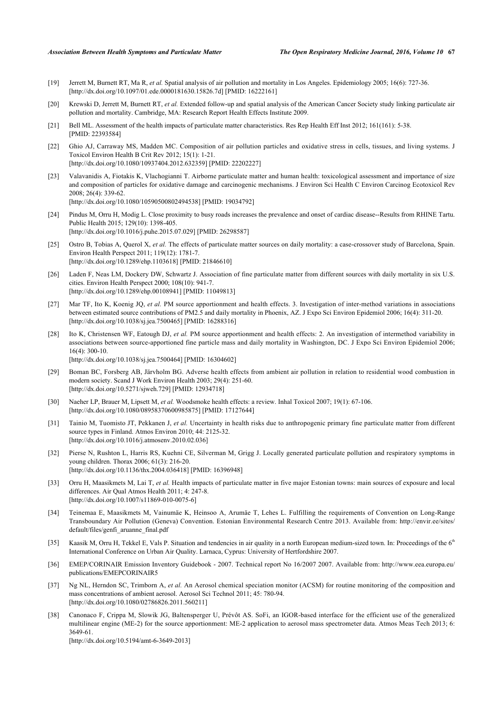- <span id="page-9-0"></span>[19] Jerrett M, Burnett RT, Ma R, *et al.* Spatial analysis of air pollution and mortality in Los Angeles. Epidemiology 2005; 16(6): 727-36. [\[http://dx.doi.org/10.1097/01.ede.0000181630.15826.7d\]](http://dx.doi.org/10.1097/01.ede.0000181630.15826.7d) [PMID: [16222161](http://www.ncbi.nlm.nih.gov/pubmed/16222161)]
- <span id="page-9-1"></span>[20] Krewski D, Jerrett M, Burnett RT, *et al.* Extended follow-up and spatial analysis of the American Cancer Society study linking particulate air pollution and mortality. Cambridge, MA: Research Report Health Effects Institute 2009.
- <span id="page-9-2"></span>[21] Bell ML. Assessment of the health impacts of particulate matter characteristics. Res Rep Health Eff Inst 2012; 161(161): 5-38. [PMID: [22393584\]](http://www.ncbi.nlm.nih.gov/pubmed/22393584)
- [22] Ghio AJ, Carraway MS, Madden MC. Composition of air pollution particles and oxidative stress in cells, tissues, and living systems. J Toxicol Environ Health B Crit Rev 2012; 15(1): 1-21. [\[http://dx.doi.org/10.1080/10937404.2012.632359\]](http://dx.doi.org/10.1080/10937404.2012.632359) [PMID: [22202227](http://www.ncbi.nlm.nih.gov/pubmed/22202227)]
- <span id="page-9-3"></span>[23] Valavanidis A, Fiotakis K, Vlachogianni T. Airborne particulate matter and human health: toxicological assessment and importance of size and composition of particles for oxidative damage and carcinogenic mechanisms. J Environ Sci Health C Environ Carcinog Ecotoxicol Rev 2008; 26(4): 339-62. [\[http://dx.doi.org/10.1080/10590500802494538\]](http://dx.doi.org/10.1080/10590500802494538) [PMID: [19034792](http://www.ncbi.nlm.nih.gov/pubmed/19034792)]
- <span id="page-9-4"></span>[24] Pindus M, Orru H, Modig L. Close proximity to busy roads increases the prevalence and onset of cardiac disease--Results from RHINE Tartu. Public Health 2015; 129(10): 1398-405. [\[http://dx.doi.org/10.1016/j.puhe.2015.07.029\]](http://dx.doi.org/10.1016/j.puhe.2015.07.029) [PMID: [26298587](http://www.ncbi.nlm.nih.gov/pubmed/26298587)]
- <span id="page-9-5"></span>[25] Ostro B, Tobias A, Querol X, et al. The effects of particulate matter sources on daily mortality: a case-crossover study of Barcelona, Spain. Environ Health Perspect 2011; 119(12): 1781-7. [\[http://dx.doi.org/10.1289/ehp.1103618](http://dx.doi.org/10.1289/ehp.1103618)] [PMID: [21846610\]](http://www.ncbi.nlm.nih.gov/pubmed/21846610)
- [26] Laden F, Neas LM, Dockery DW, Schwartz J. Association of fine particulate matter from different sources with daily mortality in six U.S. cities. Environ Health Perspect 2000; 108(10): 941-7. [\[http://dx.doi.org/10.1289/ehp.00108941](http://dx.doi.org/10.1289/ehp.00108941)] [PMID: [11049813\]](http://www.ncbi.nlm.nih.gov/pubmed/11049813)
- [27] Mar TF, Ito K, Koenig JQ, et al. PM source apportionment and health effects. 3. Investigation of inter-method variations in associations between estimated source contributions of PM2.5 and daily mortality in Phoenix, AZ. J Expo Sci Environ Epidemiol 2006; 16(4): 311-20. [\[http://dx.doi.org/10.1038/sj.jea.7500465](http://dx.doi.org/10.1038/sj.jea.7500465)] [PMID: [16288316](http://www.ncbi.nlm.nih.gov/pubmed/16288316)]
- <span id="page-9-6"></span>[28] Ito K, Christensen WF, Eatough DJ, et al. PM source apportionment and health effects: 2. An investigation of intermethod variability in associations between source-apportioned fine particle mass and daily mortality in Washington, DC. J Expo Sci Environ Epidemiol 2006;  $16(4)$ : 300-10.

[\[http://dx.doi.org/10.1038/sj.jea.7500464](http://dx.doi.org/10.1038/sj.jea.7500464)] [PMID: [16304602](http://www.ncbi.nlm.nih.gov/pubmed/16304602)]

- <span id="page-9-7"></span>[29] Boman BC, Forsberg AB, Järvholm BG. Adverse health effects from ambient air pollution in relation to residential wood combustion in modern society. Scand J Work Environ Health 2003; 29(4): 251-60. [\[http://dx.doi.org/10.5271/sjweh.729](http://dx.doi.org/10.5271/sjweh.729)] [PMID: [12934718](http://www.ncbi.nlm.nih.gov/pubmed/12934718)]
- <span id="page-9-8"></span>[30] Naeher LP, Brauer M, Lipsett M, *et al.* Woodsmoke health effects: a review. Inhal Toxicol 2007; 19(1): 67-106. [\[http://dx.doi.org/10.1080/08958370600985875\]](http://dx.doi.org/10.1080/08958370600985875) [PMID: [17127644](http://www.ncbi.nlm.nih.gov/pubmed/17127644)]
- <span id="page-9-9"></span>[31] Tainio M, Tuomisto JT, Pekkanen J, *et al.* Uncertainty in health risks due to anthropogenic primary fine particulate matter from different source types in Finland. Atmos Environ 2010; 44: 2125-32. [\[http://dx.doi.org/10.1016/j.atmosenv.2010.02.036\]](http://dx.doi.org/10.1016/j.atmosenv.2010.02.036)
- <span id="page-9-10"></span>[32] Pierse N, Rushton L, Harris RS, Kuehni CE, Silverman M, Grigg J. Locally generated particulate pollution and respiratory symptoms in young children. Thorax 2006; 61(3): 216-20. [\[http://dx.doi.org/10.1136/thx.2004.036418](http://dx.doi.org/10.1136/thx.2004.036418)] [PMID: [16396948\]](http://www.ncbi.nlm.nih.gov/pubmed/16396948)
- <span id="page-9-11"></span>[33] Orru H, Maasikmets M, Lai T, *et al.* Health impacts of particulate matter in five major Estonian towns: main sources of exposure and local differences. Air Qual Atmos Health 2011; 4: 247-8. [\[http://dx.doi.org/10.1007/s11869-010-0075-6\]](http://dx.doi.org/10.1007/s11869-010-0075-6)
- <span id="page-9-12"></span>[34] Teinemaa E, Maasikmets M, Vainumäe K, Heinsoo A, Arumäe T, Lehes L. Fulfilling the requirements of Convention on Long-Range Transboundary Air Pollution (Geneva) Convention. Estonian Environmental Research Centre 2013. Available from: [http://envir.ee/sites/](http://envir.ee/sites/default/files/genfi_aruanne_final.pdf) [default/files/genfi\\_aruanne\\_final.pdf](http://envir.ee/sites/default/files/genfi_aruanne_final.pdf)
- <span id="page-9-13"></span>[35] Kaasik M, Orru H, Tekkel E, Vals P. Situation and tendencies in air quality in a north European medium-sized town. In: Proceedings of the  $6<sup>th</sup>$ International Conference on Urban Air Quality. Larnaca, Cyprus: University of Hertfordshire 2007.
- <span id="page-9-14"></span>[36] EMEP/CORINAIR Emission Inventory Guidebook - 2007. Technical report No 16/2007 2007. Available from: [http://www.eea.europa.eu/](http://www.eea.europa.eu/publications/EMEPCORINAIR5) [publications/EMEPCORINAIR5](http://www.eea.europa.eu/publications/EMEPCORINAIR5)
- <span id="page-9-15"></span>[37] Ng NL, Herndon SC, Trimborn A, *et al.* An Aerosol chemical speciation monitor (ACSM) for routine monitoring of the composition and mass concentrations of ambient aerosol. Aerosol Sci Technol 2011; 45: 780-94. [\[http://dx.doi.org/10.1080/02786826.2011.560211\]](http://dx.doi.org/10.1080/02786826.2011.560211)
- <span id="page-9-16"></span>[38] Canonaco F, Crippa M, Slowik JG, Baltensperger U, Prévôt AS. SoFi, an IGOR-based interface for the efficient use of the generalized multilinear engine (ME-2) for the source apportionment: ME-2 application to aerosol mass spectrometer data. Atmos Meas Tech 2013; 6: 3649-61.

[\[http://dx.doi.org/10.5194/amt-6-3649-2013\]](http://dx.doi.org/10.5194/amt-6-3649-2013)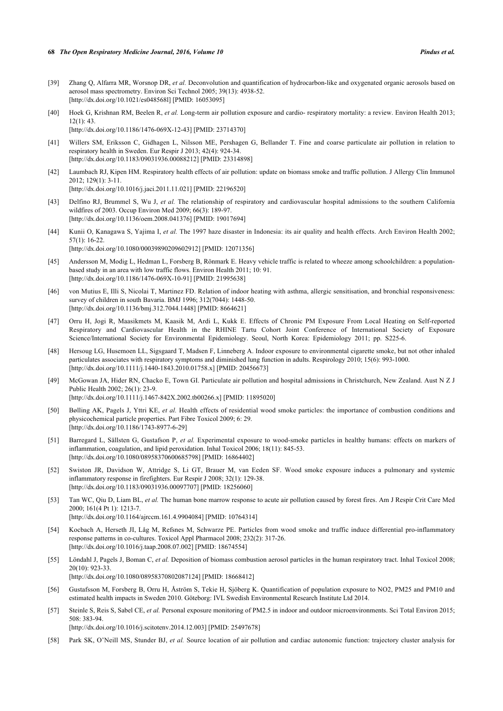- <span id="page-10-0"></span>[39] Zhang Q, Alfarra MR, Worsnop DR, *et al.* Deconvolution and quantification of hydrocarbon-like and oxygenated organic aerosols based on aerosol mass spectrometry. Environ Sci Technol 2005; 39(13): 4938-52. [\[http://dx.doi.org/10.1021/es048568l\]](http://dx.doi.org/10.1021/es048568l) [PMID: [16053095](http://www.ncbi.nlm.nih.gov/pubmed/16053095)]
- <span id="page-10-1"></span>[40] Hoek G, Krishnan RM, Beelen R, *et al.* Long-term air pollution exposure and cardio- respiratory mortality: a review. Environ Health 2013; 12(1): 43. [\[http://dx.doi.org/10.1186/1476-069X-12-43\]](http://dx.doi.org/10.1186/1476-069X-12-43) [PMID: [23714370](http://www.ncbi.nlm.nih.gov/pubmed/23714370)]
- <span id="page-10-2"></span>[41] Willers SM, Eriksson C, Gidhagen L, Nilsson ME, Pershagen G, Bellander T. Fine and coarse particulate air pollution in relation to respiratory health in Sweden. Eur Respir J 2013; 42(4): 924-34. [\[http://dx.doi.org/10.1183/09031936.00088212\]](http://dx.doi.org/10.1183/09031936.00088212) [PMID: [23314898](http://www.ncbi.nlm.nih.gov/pubmed/23314898)]
- <span id="page-10-3"></span>[42] Laumbach RJ, Kipen HM. Respiratory health effects of air pollution: update on biomass smoke and traffic pollution. J Allergy Clin Immunol 2012; 129(1): 3-11. [\[http://dx.doi.org/10.1016/j.jaci.2011.11.021\]](http://dx.doi.org/10.1016/j.jaci.2011.11.021) [PMID: [22196520](http://www.ncbi.nlm.nih.gov/pubmed/22196520)]
- <span id="page-10-4"></span>[43] Delfino RJ, Brummel S, Wu J, *et al.* The relationship of respiratory and cardiovascular hospital admissions to the southern California wildfires of 2003. Occup Environ Med 2009; 66(3): 189-97. [\[http://dx.doi.org/10.1136/oem.2008.041376\]](http://dx.doi.org/10.1136/oem.2008.041376) [PMID: [19017694](http://www.ncbi.nlm.nih.gov/pubmed/19017694)]
- <span id="page-10-5"></span>[44] Kunii O, Kanagawa S, Yajima I, *et al.* The 1997 haze disaster in Indonesia: its air quality and health effects. Arch Environ Health 2002; 57(1): 16-22. [\[http://dx.doi.org/10.1080/00039890209602912\]](http://dx.doi.org/10.1080/00039890209602912) [PMID: [12071356](http://www.ncbi.nlm.nih.gov/pubmed/12071356)]
- <span id="page-10-6"></span>[45] Andersson M, Modig L, Hedman L, Forsberg B, Rönmark E. Heavy vehicle traffic is related to wheeze among schoolchildren: a populationbased study in an area with low traffic flows. Environ Health 2011; 10: 91. [\[http://dx.doi.org/10.1186/1476-069X-10-91\]](http://dx.doi.org/10.1186/1476-069X-10-91) [PMID: [21995638](http://www.ncbi.nlm.nih.gov/pubmed/21995638)]
- <span id="page-10-7"></span>[46] von Mutius E, Illi S, Nicolai T, Martinez FD. Relation of indoor heating with asthma, allergic sensitisation, and bronchial responsiveness: survey of children in south Bavaria. BMJ 1996; 312(7044): 1448-50. [\[http://dx.doi.org/10.1136/bmj.312.7044.1448](http://dx.doi.org/10.1136/bmj.312.7044.1448)] [PMID: [8664621\]](http://www.ncbi.nlm.nih.gov/pubmed/8664621)
- <span id="page-10-8"></span>[47] Orru H, Jogi R, Maasikmets M, Kaasik M, Ardi L, Kukk E. Effects of Chronic PM Exposure From Local Heating on Self-reported Respiratory and Cardiovascular Health in the RHINE Tartu Cohort Joint Conference of International Society of Exposure Science/International Society for Environmental Epidemiology. Seoul, North Korea: Epidemiology 2011; pp. S225-6.
- <span id="page-10-9"></span>[48] Hersoug LG, Husemoen LL, Sigsgaard T, Madsen F, Linneberg A. Indoor exposure to environmental cigarette smoke, but not other inhaled particulates associates with respiratory symptoms and diminished lung function in adults. Respirology 2010; 15(6): 993-1000. [\[http://dx.doi.org/10.1111/j.1440-1843.2010.01758.x\]](http://dx.doi.org/10.1111/j.1440-1843.2010.01758.x) [PMID: [20456673](http://www.ncbi.nlm.nih.gov/pubmed/20456673)]
- [49] McGowan JA, Hider RN, Chacko E, Town GI. Particulate air pollution and hospital admissions in Christchurch, New Zealand. Aust N Z J Public Health 2002; 26(1): 23-9. [\[http://dx.doi.org/10.1111/j.1467-842X.2002.tb00266.x\]](http://dx.doi.org/10.1111/j.1467-842X.2002.tb00266.x) [PMID: [11895020](http://www.ncbi.nlm.nih.gov/pubmed/11895020)]
- <span id="page-10-10"></span>[50] Bølling AK, Pagels J, Yttri KE, et al. Health effects of residential wood smoke particles: the importance of combustion conditions and physicochemical particle properties. Part Fibre Toxicol 2009; 6: 29. [\[http://dx.doi.org/10.1186/1743-8977-6-29\]](http://dx.doi.org/10.1186/1743-8977-6-29)
- <span id="page-10-11"></span>[51] Barregard L, Sällsten G, Gustafson P, *et al.* Experimental exposure to wood-smoke particles in healthy humans: effects on markers of inflammation, coagulation, and lipid peroxidation. Inhal Toxicol 2006; 18(11): 845-53. [\[http://dx.doi.org/10.1080/08958370600685798\]](http://dx.doi.org/10.1080/08958370600685798) [PMID: [16864402](http://www.ncbi.nlm.nih.gov/pubmed/16864402)]
- [52] Swiston JR, Davidson W, Attridge S, Li GT, Brauer M, van Eeden SF. Wood smoke exposure induces a pulmonary and systemic inflammatory response in firefighters. Eur Respir J 2008; 32(1): 129-38. [\[http://dx.doi.org/10.1183/09031936.00097707\]](http://dx.doi.org/10.1183/09031936.00097707) [PMID: [18256060](http://www.ncbi.nlm.nih.gov/pubmed/18256060)]
- <span id="page-10-12"></span>[53] Tan WC, Qiu D, Liam BL, *et al.* The human bone marrow response to acute air pollution caused by forest fires. Am J Respir Crit Care Med 2000; 161(4 Pt 1): 1213-7. [\[http://dx.doi.org/10.1164/ajrccm.161.4.9904084\]](http://dx.doi.org/10.1164/ajrccm.161.4.9904084) [PMID: [10764314](http://www.ncbi.nlm.nih.gov/pubmed/10764314)]
- <span id="page-10-13"></span>[54] Kocbach A, Herseth JI, Låg M, Refsnes M, Schwarze PE. Particles from wood smoke and traffic induce differential pro-inflammatory response patterns in co-cultures. Toxicol Appl Pharmacol 2008; 232(2): 317-26. [\[http://dx.doi.org/10.1016/j.taap.2008.07.002](http://dx.doi.org/10.1016/j.taap.2008.07.002)] [PMID: [18674554\]](http://www.ncbi.nlm.nih.gov/pubmed/18674554)
- <span id="page-10-14"></span>[55] Löndahl J, Pagels J, Boman C, *et al.* Deposition of biomass combustion aerosol particles in the human respiratory tract. Inhal Toxicol 2008; 20(10): 923-33. [\[http://dx.doi.org/10.1080/08958370802087124\]](http://dx.doi.org/10.1080/08958370802087124) [PMID: [18668412](http://www.ncbi.nlm.nih.gov/pubmed/18668412)]
- <span id="page-10-15"></span>[56] Gustafsson M, Forsberg B, Orru H, Åström S, Tekie H, Sjöberg K. Quantification of population exposure to NO2, PM25 and PM10 and estimated health impacts in Sweden 2010. Göteborg: IVL Swedish Environmental Research Institute Ltd 2014.
- <span id="page-10-16"></span>[57] Steinle S, Reis S, Sabel CE, *et al.* Personal exposure monitoring of PM2.5 in indoor and outdoor microenvironments. Sci Total Environ 2015; 508: 383-94.

[\[http://dx.doi.org/10.1016/j.scitotenv.2014.12.003\]](http://dx.doi.org/10.1016/j.scitotenv.2014.12.003) [PMID: [25497678](http://www.ncbi.nlm.nih.gov/pubmed/25497678)]

<span id="page-10-17"></span>[58] Park SK, O'Neill MS, Stunder BJ, *et al.* Source location of air pollution and cardiac autonomic function: trajectory cluster analysis for